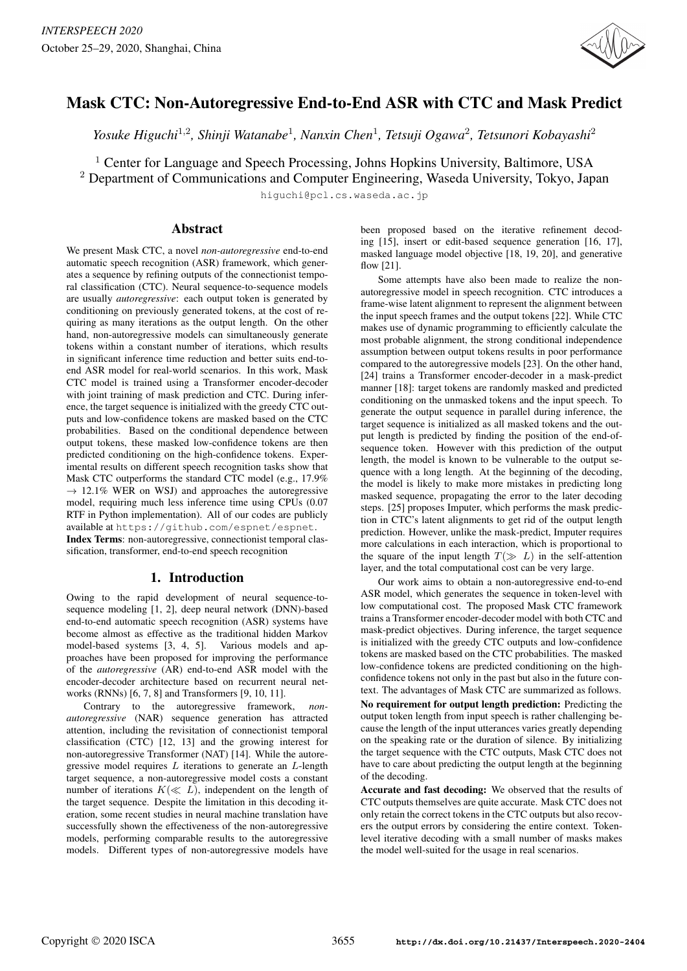

# Mask CTC: Non-Autoregressive End-to-End ASR with CTC and Mask Predict

Yosuke Higuchi<sup>1,2</sup>, Shinji Watanabe<sup>1</sup>, Nanxin Chen<sup>1</sup>, Tetsuji Ogawa<sup>2</sup>, Tetsunori Kobayashi<sup>2</sup>

<sup>1</sup> Center for Language and Speech Processing, Johns Hopkins University, Baltimore, USA

<sup>2</sup> Department of Communications and Computer Engineering, Waseda University, Tokyo, Japan

higuchi@pcl.cs.waseda.ac.jp

# Abstract

We present Mask CTC, a novel *non-autoregressive* end-to-end automatic speech recognition (ASR) framework, which generates a sequence by refining outputs of the connectionist temporal classification (CTC). Neural sequence-to-sequence models are usually *autoregressive*: each output token is generated by conditioning on previously generated tokens, at the cost of requiring as many iterations as the output length. On the other hand, non-autoregressive models can simultaneously generate tokens within a constant number of iterations, which results in significant inference time reduction and better suits end-toend ASR model for real-world scenarios. In this work, Mask CTC model is trained using a Transformer encoder-decoder with joint training of mask prediction and CTC. During inference, the target sequence is initialized with the greedy CTC outputs and low-confidence tokens are masked based on the CTC probabilities. Based on the conditional dependence between output tokens, these masked low-confidence tokens are then predicted conditioning on the high-confidence tokens. Experimental results on different speech recognition tasks show that Mask CTC outperforms the standard CTC model (e.g., 17.9%  $\rightarrow$  12.1% WER on WSJ) and approaches the autoregressive model, requiring much less inference time using CPUs (0.07 RTF in Python implementation). All of our codes are publicly available at https://github.com/espnet/espnet.

Index Terms: non-autoregressive, connectionist temporal classification, transformer, end-to-end speech recognition

## 1. Introduction

Owing to the rapid development of neural sequence-tosequence modeling [1, 2], deep neural network (DNN)-based end-to-end automatic speech recognition (ASR) systems have become almost as effective as the traditional hidden Markov model-based systems [3, 4, 5]. Various models and approaches have been proposed for improving the performance of the *autoregressive* (AR) end-to-end ASR model with the encoder-decoder architecture based on recurrent neural networks (RNNs) [6, 7, 8] and Transformers [9, 10, 11].

Contrary to the autoregressive framework, *nonautoregressive* (NAR) sequence generation has attracted attention, including the revisitation of connectionist temporal classification (CTC) [12, 13] and the growing interest for non-autoregressive Transformer (NAT) [14]. While the autoregressive model requires  $L$  iterations to generate an  $L$ -length target sequence, a non-autoregressive model costs a constant number of iterations  $K(\ll L)$ , independent on the length of the target sequence. Despite the limitation in this decoding iteration, some recent studies in neural machine translation have successfully shown the effectiveness of the non-autoregressive models, performing comparable results to the autoregressive models. Different types of non-autoregressive models have been proposed based on the iterative refinement decoding [15], insert or edit-based sequence generation [16, 17], masked language model objective [18, 19, 20], and generative flow [21].

Some attempts have also been made to realize the nonautoregressive model in speech recognition. CTC introduces a frame-wise latent alignment to represent the alignment between the input speech frames and the output tokens [22]. While CTC makes use of dynamic programming to efficiently calculate the most probable alignment, the strong conditional independence assumption between output tokens results in poor performance compared to the autoregressive models [23]. On the other hand, [24] trains a Transformer encoder-decoder in a mask-predict manner [18]: target tokens are randomly masked and predicted conditioning on the unmasked tokens and the input speech. To generate the output sequence in parallel during inference, the target sequence is initialized as all masked tokens and the output length is predicted by finding the position of the end-ofsequence token. However with this prediction of the output length, the model is known to be vulnerable to the output sequence with a long length. At the beginning of the decoding, the model is likely to make more mistakes in predicting long masked sequence, propagating the error to the later decoding steps. [25] proposes Imputer, which performs the mask prediction in CTC's latent alignments to get rid of the output length prediction. However, unlike the mask-predict, Imputer requires more calculations in each interaction, which is proportional to the square of the input length  $T(\gg L)$  in the self-attention layer, and the total computational cost can be very large.

Our work aims to obtain a non-autoregressive end-to-end ASR model, which generates the sequence in token-level with low computational cost. The proposed Mask CTC framework trains a Transformer encoder-decoder model with both CTC and mask-predict objectives. During inference, the target sequence is initialized with the greedy CTC outputs and low-confidence tokens are masked based on the CTC probabilities. The masked low-confidence tokens are predicted conditioning on the highconfidence tokens not only in the past but also in the future context. The advantages of Mask CTC are summarized as follows. No requirement for output length prediction: Predicting the output token length from input speech is rather challenging because the length of the input utterances varies greatly depending on the speaking rate or the duration of silence. By initializing the target sequence with the CTC outputs, Mask CTC does not have to care about predicting the output length at the beginning of the decoding.

Accurate and fast decoding: We observed that the results of CTC outputs themselves are quite accurate. Mask CTC does not only retain the correct tokens in the CTC outputs but also recovers the output errors by considering the entire context. Tokenlevel iterative decoding with a small number of masks makes the model well-suited for the usage in real scenarios.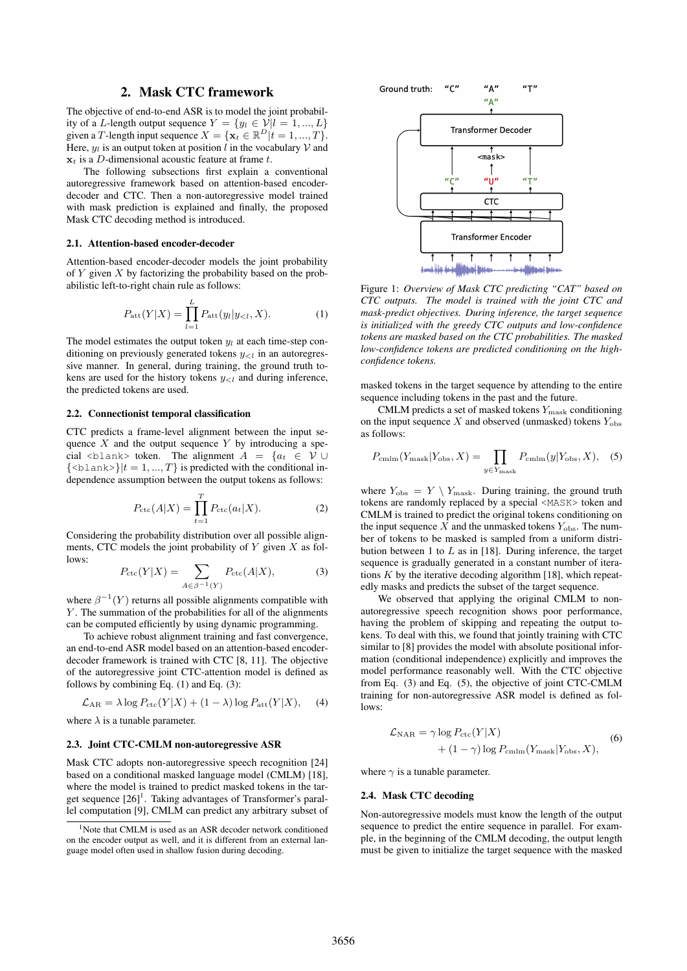### 2. Mask CTC framework

The objective of end-to-end ASR is to model the joint probability of a L-length output sequence  $Y = \{y_l \in \mathcal{V} | l = 1, ..., L\}$ given a T-length input sequence  $X = \{x_t \in \mathbb{R}^D | t = 1, ..., T\}.$ Here,  $y_l$  is an output token at position l in the vocabulary V and  $x_t$  is a D-dimensional acoustic feature at frame t.

The following subsections first explain a conventional autoregressive framework based on attention-based encoderdecoder and CTC. Then a non-autoregressive model trained with mask prediction is explained and finally, the proposed Mask CTC decoding method is introduced.

### 2.1. Attention-based encoder-decoder

Attention-based encoder-decoder models the joint probability of  $Y$  given  $X$  by factorizing the probability based on the probabilistic left-to-right chain rule as follows:

$$
P_{\rm att}(Y|X) = \prod_{l=1}^{L} P_{\rm att}(y_l|y_{l}, X). \tag{1}
$$

The model estimates the output token  $y_l$  at each time-step conditioning on previously generated tokens  $y_{\leq l}$  in an autoregressive manner. In general, during training, the ground truth tokens are used for the history tokens  $y_{\leq l}$  and during inference, the predicted tokens are used.

### 2.2. Connectionist temporal classification

CTC predicts a frame-level alignment between the input sequence  $X$  and the output sequence  $Y$  by introducing a special <br/> <br/>  $\langle$  <br/>token. The alignment  $A = \{a_t \in V \cup$  $\{\langle \text{blank}\rangle\}|t=1,...,T\}$  is predicted with the conditional independence assumption between the output tokens as follows:

$$
P_{\rm ctc}(A|X) = \prod_{t=1}^{T} P_{\rm ctc}(a_t|X).
$$
 (2)

Considering the probability distribution over all possible alignments, CTC models the joint probability of  $Y$  given  $X$  as follows:

$$
P_{\text{ctc}}(Y|X) = \sum_{A \in \beta^{-1}(Y)} P_{\text{ctc}}(A|X), \tag{3}
$$

where  $\beta^{-1}(Y)$  returns all possible alignments compatible with Y. The summation of the probabilities for all of the alignments can be computed efficiently by using dynamic programming.

To achieve robust alignment training and fast convergence, an end-to-end ASR model based on an attention-based encoderdecoder framework is trained with CTC [8, 11]. The objective of the autoregressive joint CTC-attention model is defined as follows by combining Eq.  $(1)$  and Eq.  $(3)$ :

$$
\mathcal{L}_{AR} = \lambda \log P_{\text{ctc}}(Y|X) + (1 - \lambda) \log P_{\text{att}}(Y|X), \quad (4)
$$

where  $\lambda$  is a tunable parameter.

#### 2.3. Joint CTC-CMLM non-autoregressive ASR

Mask CTC adopts non-autoregressive speech recognition [24] based on a conditional masked language model (CMLM) [18], where the model is trained to predict masked tokens in the target sequence  $[26]$ <sup>1</sup>. Taking advantages of Transformer's parallel computation [9], CMLM can predict any arbitrary subset of



Figure 1: *Overview of Mask CTC predicting "CAT" based on CTC outputs. The model is trained with the joint CTC and mask-predict objectives. During inference, the target sequence is initialized with the greedy CTC outputs and low-confidence tokens are masked based on the CTC probabilities. The masked low-confidence tokens are predicted conditioning on the highconfidence tokens.*

masked tokens in the target sequence by attending to the entire sequence including tokens in the past and the future.

CMLM predicts a set of masked tokens  $Y_{\text{mask}}$  conditioning on the input sequence  $X$  and observed (unmasked) tokens  $Y_{\text{obs}}$ as follows:

$$
P_{\text{cmlm}}(Y_{\text{mask}}|Y_{\text{obs}}, X) = \prod_{y \in Y_{\text{mask}}} P_{\text{cmlm}}(y|Y_{\text{obs}}, X), \quad (5)
$$

where  $Y_{\text{obs}} = Y \setminus Y_{\text{mask}}$ . During training, the ground truth tokens are randomly replaced by a special <MASK> token and CMLM is trained to predict the original tokens conditioning on the input sequence X and the unmasked tokens  $Y_{\text{obs}}$ . The number of tokens to be masked is sampled from a uniform distribution between 1 to  $L$  as in [18]. During inference, the target sequence is gradually generated in a constant number of iterations  $K$  by the iterative decoding algorithm [18], which repeatedly masks and predicts the subset of the target sequence.

We observed that applying the original CMLM to nonautoregressive speech recognition shows poor performance, having the problem of skipping and repeating the output tokens. To deal with this, we found that jointly training with CTC similar to [8] provides the model with absolute positional information (conditional independence) explicitly and improves the model performance reasonably well. With the CTC objective from Eq. (3) and Eq. (5), the objective of joint CTC-CMLM training for non-autoregressive ASR model is defined as follows:

$$
\mathcal{L}_{\text{NAR}} = \gamma \log P_{\text{ctc}}(Y|X) + (1 - \gamma) \log P_{\text{cmlm}}(Y_{\text{mask}}|Y_{\text{obs}}, X), \tag{6}
$$

where  $\gamma$  is a tunable parameter.

### 2.4. Mask CTC decoding

Non-autoregressive models must know the length of the output sequence to predict the entire sequence in parallel. For example, in the beginning of the CMLM decoding, the output length must be given to initialize the target sequence with the masked

<sup>&</sup>lt;sup>1</sup>Note that CMLM is used as an ASR decoder network conditioned on the encoder output as well, and it is different from an external language model often used in shallow fusion during decoding.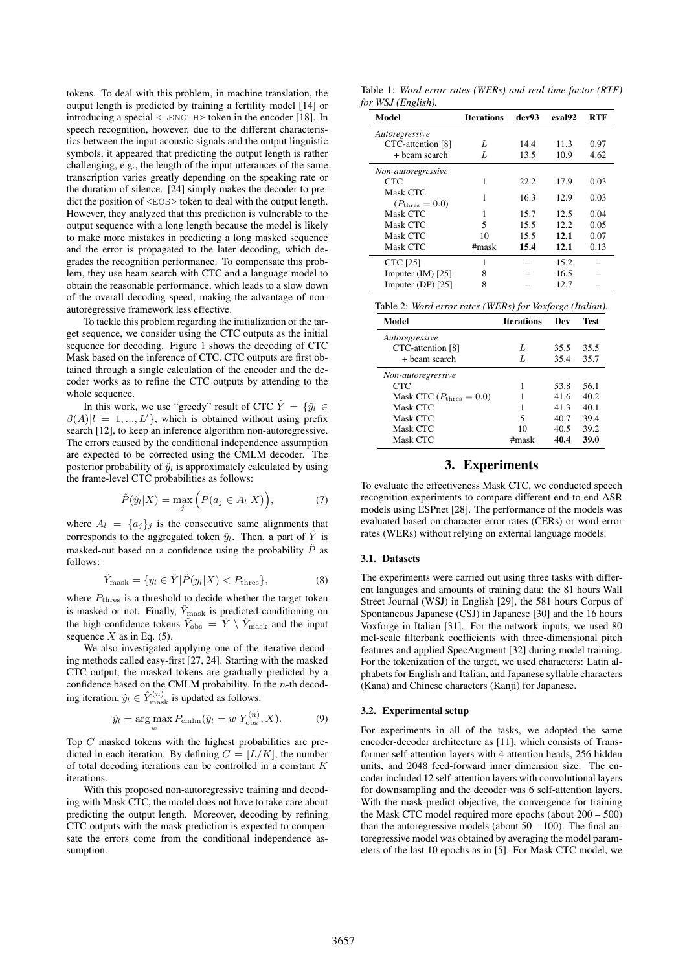tokens. To deal with this problem, in machine translation, the output length is predicted by training a fertility model [14] or introducing a special <LENGTH> token in the encoder [18]. In speech recognition, however, due to the different characteristics between the input acoustic signals and the output linguistic symbols, it appeared that predicting the output length is rather challenging, e.g., the length of the input utterances of the same transcription varies greatly depending on the speaking rate or the duration of silence. [24] simply makes the decoder to predict the position of  $\langle EOS \rangle$  token to deal with the output length. However, they analyzed that this prediction is vulnerable to the output sequence with a long length because the model is likely to make more mistakes in predicting a long masked sequence and the error is propagated to the later decoding, which degrades the recognition performance. To compensate this problem, they use beam search with CTC and a language model to obtain the reasonable performance, which leads to a slow down of the overall decoding speed, making the advantage of nonautoregressive framework less effective.

To tackle this problem regarding the initialization of the target sequence, we consider using the CTC outputs as the initial sequence for decoding. Figure 1 shows the decoding of CTC Mask based on the inference of CTC. CTC outputs are first obtained through a single calculation of the encoder and the decoder works as to refine the CTC outputs by attending to the whole sequence.

In this work, we use "greedy" result of CTC  $\hat{Y} = \{\hat{y}_l \in$  $\beta(A)|l = 1, ..., L'$ , which is obtained without using prefix search [12], to keep an inference algorithm non-autoregressive. The errors caused by the conditional independence assumption are expected to be corrected using the CMLM decoder. The posterior probability of  $\hat{y}_l$  is approximately calculated by using the frame-level CTC probabilities as follows:

$$
\hat{P}(\hat{y}_l|X) = \max_j \Big( P(a_j \in A_l|X) \Big), \tag{7}
$$

where  $A_l = \{a_j\}_j$  is the consecutive same alignments that corresponds to the aggregated token  $\hat{y}_l$ . Then, a part of  $\hat{Y}$  is masked-out based on a confidence using the probability  $\hat{P}$  as follows:

$$
\hat{Y}_{\text{mask}} = \{ y_l \in \hat{Y} | \hat{P}(y_l | X) < P_{\text{thres}} \},\tag{8}
$$

where  $P_{\text{thres}}$  is a threshold to decide whether the target token is masked or not. Finally,  $\hat{Y}_{\text{mask}}$  is predicted conditioning on the high-confidence tokens  $\hat{Y}_{\text{obs}} = \hat{Y} \setminus \hat{Y}_{\text{mask}}$  and the input sequence  $X$  as in Eq. (5).

We also investigated applying one of the iterative decoding methods called easy-first [27, 24]. Starting with the masked CTC output, the masked tokens are gradually predicted by a confidence based on the CMLM probability. In the  $n$ -th decoding iteration,  $\hat{y}_l \in \hat{Y}_{\text{mask}}^{(n)}$  is updated as follows:

$$
\hat{y}_l = \underset{w}{\arg\max} P_{\text{cmlm}}(\hat{y}_l = w | Y_{\text{obs}}^{(n)}, X). \tag{9}
$$

Top C masked tokens with the highest probabilities are predicted in each iteration. By defining  $C = [L/K]$ , the number of total decoding iterations can be controlled in a constant  $K$ iterations.

With this proposed non-autoregressive training and decoding with Mask CTC, the model does not have to take care about predicting the output length. Moreover, decoding by refining CTC outputs with the mask prediction is expected to compensate the errors come from the conditional independence assumption.

Table 1: *Word error rates (WERs) and real time factor (RTF) for WSJ (English).*

| Model                      | <b>Iterations</b> | dev93 | eval92 | <b>RTF</b> |
|----------------------------|-------------------|-------|--------|------------|
| Autoregressive             |                   |       |        |            |
| CTC-attention [8]          | L                 | 14.4  | 11.3   | 0.97       |
| + beam search              | L                 | 13.5  | 10.9   | 4.62       |
| Non-autoregressive         |                   |       |        |            |
| CTC                        | 1                 | 22.2  | 17.9   | 0.03       |
| Mask CTC                   | 1                 | 16.3  | 12.9   | 0.03       |
| $(P_{\text{thres}} = 0.0)$ |                   |       |        |            |
| Mask CTC                   |                   | 15.7  | 12.5   | 0.04       |
| Mask CTC                   | 5                 | 15.5  | 12.2   | 0.05       |
| Mask CTC                   | 10                | 15.5  | 12.1   | 0.07       |
| Mask CTC                   | #mask             | 15.4  | 12.1   | 0.13       |
| <b>CTC</b> [25]            |                   |       | 15.2   |            |
| Imputer $(IM)$ [25]        | 8                 |       | 16.5   |            |
| Imputer (DP) $[25]$        | 8                 |       | 12.7   |            |

| Table 2: Word error rates (WERs) for Voxforge (Italian). |  |  |  |
|----------------------------------------------------------|--|--|--|
|----------------------------------------------------------|--|--|--|

| Model                               | <b>Iterations</b> | Dev  | Test |
|-------------------------------------|-------------------|------|------|
| Autoregressive                      |                   |      |      |
| CTC-attention [8]                   | L                 | 35.5 | 35.5 |
| + beam search                       | L                 | 35.4 | 35.7 |
| Non-autoregressive                  |                   |      |      |
| <b>CTC</b>                          |                   | 53.8 | 56.1 |
| Mask CTC $(P_{\text{thres}} = 0.0)$ |                   | 41.6 | 40.2 |
| Mask CTC                            |                   | 41.3 | 40.1 |
| Mask CTC                            | 5                 | 40.7 | 39.4 |
| Mask CTC                            | 10                | 40.5 | 39.2 |
| Mask CTC                            | #mask             | 40.4 | 39.0 |

### 3. Experiments

To evaluate the effectiveness Mask CTC, we conducted speech recognition experiments to compare different end-to-end ASR models using ESPnet [28]. The performance of the models was evaluated based on character error rates (CERs) or word error rates (WERs) without relying on external language models.

#### 3.1. Datasets

The experiments were carried out using three tasks with different languages and amounts of training data: the 81 hours Wall Street Journal (WSJ) in English [29], the 581 hours Corpus of Spontaneous Japanese (CSJ) in Japanese [30] and the 16 hours Voxforge in Italian [31]. For the network inputs, we used 80 mel-scale filterbank coefficients with three-dimensional pitch features and applied SpecAugment [32] during model training. For the tokenization of the target, we used characters: Latin alphabets for English and Italian, and Japanese syllable characters (Kana) and Chinese characters (Kanji) for Japanese.

#### 3.2. Experimental setup

For experiments in all of the tasks, we adopted the same encoder-decoder architecture as [11], which consists of Transformer self-attention layers with 4 attention heads, 256 hidden units, and 2048 feed-forward inner dimension size. The encoder included 12 self-attention layers with convolutional layers for downsampling and the decoder was 6 self-attention layers. With the mask-predict objective, the convergence for training the Mask CTC model required more epochs (about 200 – 500) than the autoregressive models (about  $50 - 100$ ). The final autoregressive model was obtained by averaging the model parameters of the last 10 epochs as in [5]. For Mask CTC model, we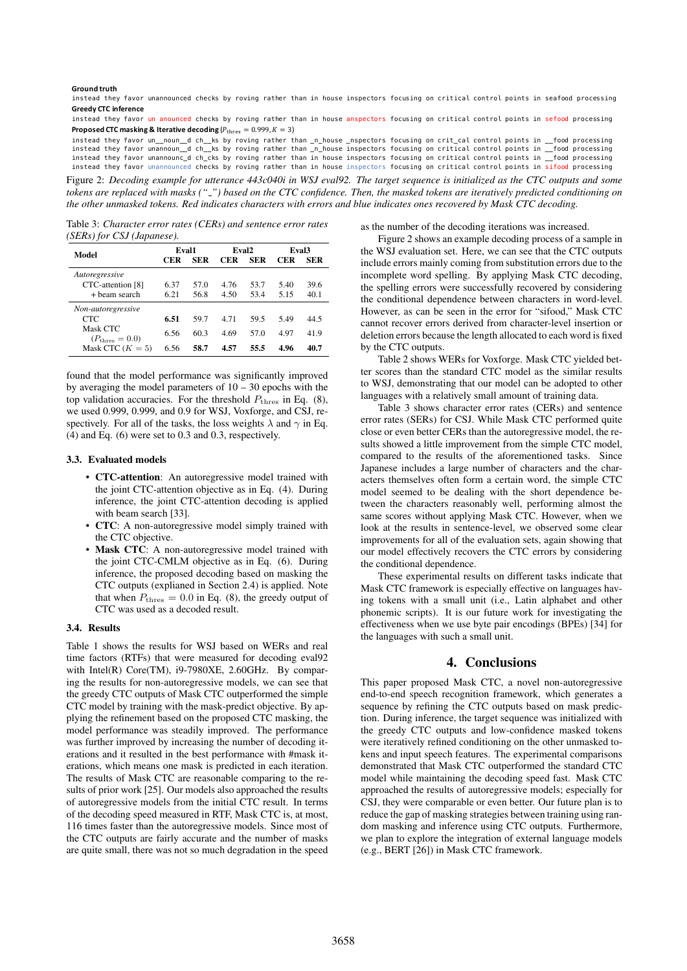#### **Ground truth**

instead they favor unannounced checks by roving rather than in house inspectors focusing on critical control points in seafood processing **Greedy CTC inference**

**Proposed CTC masking & Iterative decoding**  $(P_{\text{thres}} = 0.999, K = 3)$ instead they favor un anounced checks by roving rather than in house anspectors focusing on critical control points in sefood processing

instead they favor un\_\_noun\_d ch\_\_ks by roving rather than \_n\_house \_nspectors focusing on crit\_cal control points in \_\_food processing<br>instead they favor unannoun\_d ch\_\_ks by roving rather than \_n\_house inspectors focusin instead they favor unannounc\_d ch\_cks by roving rather than in house inspectors focusing on critical control points in \_\_food processing instead they favor unannounced checks by roving rather than in house inspectors focusing on critical control points in sifood processing

Figure 2: *Decoding example for utterance 443c040i in WSJ eval92. The target sequence is initialized as the CTC outputs and some tokens are replaced with masks (" ") based on the CTC confidence. Then, the masked tokens are iteratively predicted conditioning on the other unmasked tokens. Red indicates characters with errors and blue indicates ones recovered by Mask CTC decoding.*

Table 3: *Character error rates (CERs) and sentence error rates (SERs) for CSJ (Japanese).*

| Model                                  | Eval1 |            | Eval <sub>2</sub> |            | Eval <sub>3</sub> |      |
|----------------------------------------|-------|------------|-------------------|------------|-------------------|------|
|                                        | CER   | <b>SER</b> | <b>CER</b>        | <b>SER</b> | CER               | SER  |
| Autoregressive                         |       |            |                   |            |                   |      |
| CTC-attention [8]                      | 6.37  | 57.0       | 4.76              | 53.7       | 5.40              | 39.6 |
| + beam search                          | 6.21  | 56.8       | 4.50              | 53.4       | 5.15              | 40.1 |
| Non-autoregressive                     |       |            |                   |            |                   |      |
| <b>CTC</b>                             | 6.51  | 597        | 4 7 1             | 59.5       | 5.49              | 44.5 |
| Mask CTC<br>$(P_{\text{thres}} = 0.0)$ | 6.56  | 60.3       | 4.69              | 57.0       | 4.97              | 41.9 |
| Mask CTC $(K = 5)$                     | 6.56  | 58.7       | 4.57              | 55.5       | 4.96              | 40.7 |

found that the model performance was significantly improved by averaging the model parameters of  $10 - 30$  epochs with the top validation accuracies. For the threshold  $P_{\text{thres}}$  in Eq. (8), we used 0.999, 0.999, and 0.9 for WSJ, Voxforge, and CSJ, respectively. For all of the tasks, the loss weights  $\lambda$  and  $\gamma$  in Eq. (4) and Eq. (6) were set to 0.3 and 0.3, respectively.

### 3.3. Evaluated models

- CTC-attention: An autoregressive model trained with the joint CTC-attention objective as in Eq. (4). During inference, the joint CTC-attention decoding is applied with beam search [33].
- CTC: A non-autoregressive model simply trained with the CTC objective.
- Mask CTC: A non-autoregressive model trained with the joint CTC-CMLM objective as in Eq. (6). During inference, the proposed decoding based on masking the CTC outputs (explianed in Section 2.4) is applied. Note that when  $P_{\text{thres}} = 0.0$  in Eq. (8), the greedy output of CTC was used as a decoded result.

### 3.4. Results

Table 1 shows the results for WSJ based on WERs and real time factors (RTFs) that were measured for decoding eval92 with Intel(R) Core(TM), i9-7980XE, 2.60GHz. By comparing the results for non-autoregressive models, we can see that the greedy CTC outputs of Mask CTC outperformed the simple CTC model by training with the mask-predict objective. By applying the refinement based on the proposed CTC masking, the model performance was steadily improved. The performance was further improved by increasing the number of decoding iterations and it resulted in the best performance with #mask iterations, which means one mask is predicted in each iteration. The results of Mask CTC are reasonable comparing to the results of prior work [25]. Our models also approached the results of autoregressive models from the initial CTC result. In terms of the decoding speed measured in RTF, Mask CTC is, at most, 116 times faster than the autoregressive models. Since most of the CTC outputs are fairly accurate and the number of masks are quite small, there was not so much degradation in the speed as the number of the decoding iterations was increased.

Figure 2 shows an example decoding process of a sample in the WSJ evaluation set. Here, we can see that the CTC outputs include errors mainly coming from substitution errors due to the incomplete word spelling. By applying Mask CTC decoding, the spelling errors were successfully recovered by considering the conditional dependence between characters in word-level. However, as can be seen in the error for "sifood," Mask CTC cannot recover errors derived from character-level insertion or deletion errors because the length allocated to each word is fixed by the CTC outputs.

Table 2 shows WERs for Voxforge. Mask CTC yielded better scores than the standard CTC model as the similar results to WSJ, demonstrating that our model can be adopted to other languages with a relatively small amount of training data.

Table 3 shows character error rates (CERs) and sentence error rates (SERs) for CSJ. While Mask CTC performed quite close or even better CERs than the autoregressive model, the results showed a little improvement from the simple CTC model, compared to the results of the aforementioned tasks. Since Japanese includes a large number of characters and the characters themselves often form a certain word, the simple CTC model seemed to be dealing with the short dependence between the characters reasonably well, performing almost the same scores without applying Mask CTC. However, when we look at the results in sentence-level, we observed some clear improvements for all of the evaluation sets, again showing that our model effectively recovers the CTC errors by considering the conditional dependence.

These experimental results on different tasks indicate that Mask CTC framework is especially effective on languages having tokens with a small unit (i.e., Latin alphabet and other phonemic scripts). It is our future work for investigating the effectiveness when we use byte pair encodings (BPEs) [34] for the languages with such a small unit.

### 4. Conclusions

This paper proposed Mask CTC, a novel non-autoregressive end-to-end speech recognition framework, which generates a sequence by refining the CTC outputs based on mask prediction. During inference, the target sequence was initialized with the greedy CTC outputs and low-confidence masked tokens were iteratively refined conditioning on the other unmasked tokens and input speech features. The experimental comparisons demonstrated that Mask CTC outperformed the standard CTC model while maintaining the decoding speed fast. Mask CTC approached the results of autoregressive models; especially for CSJ, they were comparable or even better. Our future plan is to reduce the gap of masking strategies between training using random masking and inference using CTC outputs. Furthermore, we plan to explore the integration of external language models (e.g., BERT [26]) in Mask CTC framework.